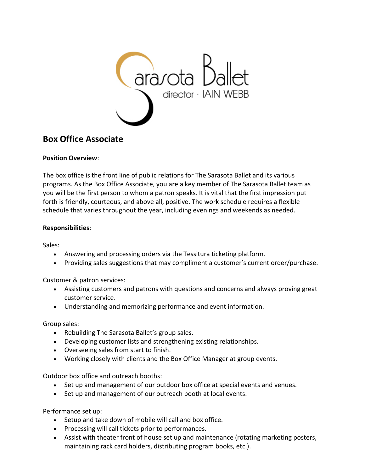

# **Box Office Associate**

## **Position Overview**:

The box office is the front line of public relations for The Sarasota Ballet and its various programs. As the Box Office Associate, you are a key member of The Sarasota Ballet team as you will be the first person to whom a patron speaks. It is vital that the first impression put forth is friendly, courteous, and above all, positive. The work schedule requires a flexible schedule that varies throughout the year, including evenings and weekends as needed.

## **Responsibilities**:

Sales:

- Answering and processing orders via the Tessitura ticketing platform.
- Providing sales suggestions that may compliment a customer's current order/purchase.

Customer & patron services:

- Assisting customers and patrons with questions and concerns and always proving great customer service.
- Understanding and memorizing performance and event information.

Group sales:

- Rebuilding The Sarasota Ballet's group sales.
- Developing customer lists and strengthening existing relationships.
- Overseeing sales from start to finish.
- Working closely with clients and the Box Office Manager at group events.

Outdoor box office and outreach booths:

- Set up and management of our outdoor box office at special events and venues.
- Set up and management of our outreach booth at local events.

Performance set up:

- Setup and take down of mobile will call and box office.
- Processing will call tickets prior to performances.
- Assist with theater front of house set up and maintenance (rotating marketing posters, maintaining rack card holders, distributing program books, etc.).